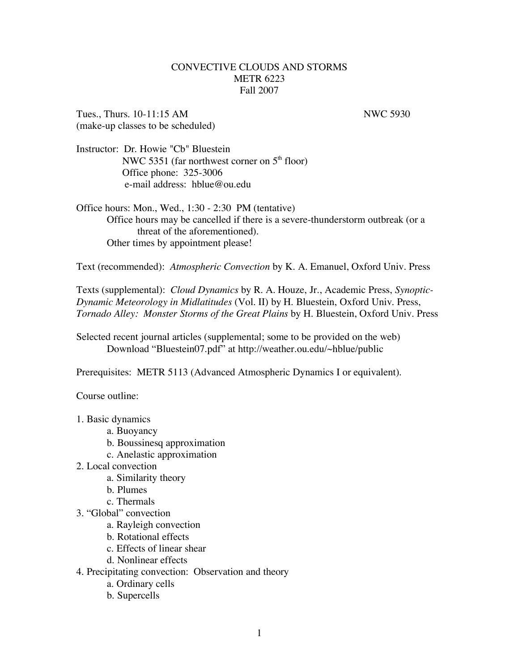## CONVECTIVE CLOUDS AND STORMS METR 6223 Fall 2007

Tues., Thurs. 10-11:15 AM NWC 5930 (make-up classes to be scheduled)

Instructor: Dr. Howie "Cb" Bluestein NWC 5351 (far northwest corner on  $5<sup>th</sup>$  floor) Office phone: 325-3006 e-mail address: hblue@ou.edu

Office hours: Mon., Wed., 1:30 - 2:30 PM (tentative) Office hours may be cancelled if there is a severe-thunderstorm outbreak (or a threat of the aforementioned). Other times by appointment please!

Text (recommended): *Atmospheric Convection* by K. A. Emanuel, Oxford Univ. Press

Texts (supplemental): *Cloud Dynamics* by R. A. Houze, Jr., Academic Press, *Synoptic-Dynamic Meteorology in Midlatitudes* (Vol. II) by H. Bluestein, Oxford Univ. Press, *Tornado Alley: Monster Storms of the Great Plains* by H. Bluestein, Oxford Univ. Press

Selected recent journal articles (supplemental; some to be provided on the web) Download "Bluestein07.pdf" at http://weather.ou.edu/~hblue/public

Prerequisites: METR 5113 (Advanced Atmospheric Dynamics I or equivalent).

Course outline:

1. Basic dynamics

- a. Buoyancy
- b. Boussinesq approximation
- c. Anelastic approximation
- 2. Local convection
	- a. Similarity theory
	- b. Plumes
	- c. Thermals
- 3. "Global" convection
	- a. Rayleigh convection
	- b. Rotational effects
	- c. Effects of linear shear
	- d. Nonlinear effects
- 4. Precipitating convection: Observation and theory
	- a. Ordinary cells
	- b. Supercells